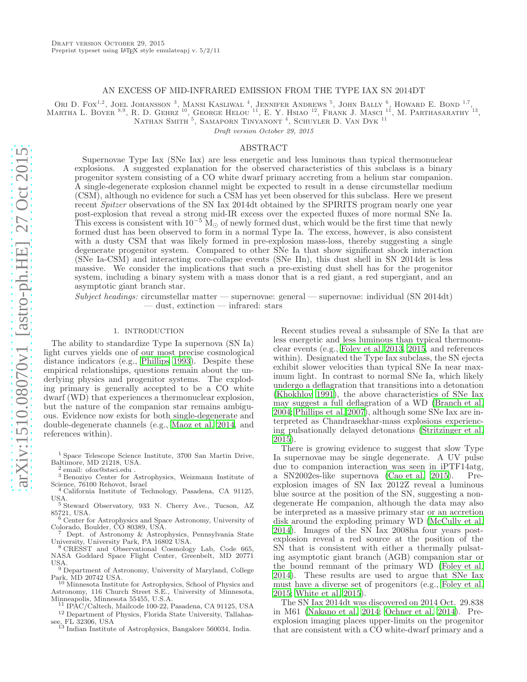## AN EXCESS OF MID-INFRARED EMISSION FROM THE TYPE IAX SN 2014DT

Ori D. Fox<sup>1,2</sup>, Joel Johansson<sup>3</sup>, Mansi Kasliwal<sup>4</sup>, Jennifer Andrews<sup>5</sup>, John Bally<sup>6</sup>, Howard E. Bond<sup>1,7</sup>, MARTHA L. BOYER <sup>8,9</sup>, R. D. GEHRZ <sup>10</sup>, GEORGE HELOU<sup>'11</sup>, E. Y. HSIAO <sup>12</sup>, FRANK J. MASCI <sup>11</sup>, M. PARTHASARATHY <sup>13</sup>, NATHAN SMITH <sup>5</sup>, SAMAPORN TINYANONT <sup>4</sup>, SCHUYLER D. VAN DYK <sup>11</sup>

Draft version October 29, 2015

### ABSTRACT

Supernovae Type Iax (SNe Iax) are less energetic and less luminous than typical thermonuclear explosions. A suggested explanation for the observed characteristics of this subclass is a binary progenitor system consisting of a CO white dwarf primary accreting from a helium star companion. A single-degenerate explosion channel might be expected to result in a dense circumstellar medium (CSM), although no evidence for such a CSM has yet been observed for this subclass. Here we present recent Spitzer observations of the SN Iax 2014dt obtained by the SPIRITS program nearly one year post-explosion that reveal a strong mid-IR excess over the expected fluxes of more normal SNe Ia. This excess is consistent with  $10^{-5}$  M<sub>☉</sub> of newly formed dust, which would be the first time that newly formed dust has been observed to form in a normal Type Ia. The excess, however, is also consistent with a dusty CSM that was likely formed in pre-explosion mass-loss, thereby suggesting a single degenerate progenitor system. Compared to other SNe Ia that show significant shock interaction (SNe Ia-CSM) and interacting core-collapse events (SNe IIn), this dust shell in SN 2014dt is less massive. We consider the implications that such a pre-existing dust shell has for the progenitor system, including a binary system with a mass donor that is a red giant, a red supergiant, and an asymptotic giant branch star.

Subject headings: circumstellar matter — supernovae: general — supernovae: individual (SN 2014dt) — dust, extinction — infrared: stars

#### 1. INTRODUCTION

The ability to standardize Type Ia supernova (SN Ia) light curves yields one of our most precise cosmological distance indicators (e.g., [Phillips 1993\)](#page-5-0). Despite these empirical relationships, questions remain about the underlying physics and progenitor systems. The exploding primary is generally accepted to be a CO white dwarf (WD) that experiences a thermonuclear explosion, but the nature of the companion star remains ambiguous. Evidence now exists for both single-degenerate and double-degenerate channels (e.g., [Maoz et al. 2014,](#page-5-1) and references within).

<sup>1</sup> Space Telescope Science Institute, 3700 San Martin Drive, Baltimore, MD 21218, USA. 2

email: ofox@stsci.edu .

<sup>3</sup> Benoziyo Center for Astrophysics, Weizmann Institute of Science, 76100 Rehovot, Israel

<sup>4</sup> California Institute of Technology, Pasadena, CA 91125, USA. <sup>5</sup> Steward Observatory, 933 N. Cherry Ave., Tucson, AZ

85721, USA. <sup>6</sup> Center for Astrophysics and Space Astronomy, University of

Colorado, Boulder, CO 80389, USA.

Dept. of Astronomy & Astrophysics, Pennsylvania State University, University Park, PA 16802 USA.

<sup>8</sup> CRESST and Observational Cosmology Lab, Code 665, NASA Goddard Space Flight Center, Greenbelt, MD 20771

USA. <sup>9</sup> Department of Astronomy, University of Maryland, College

Park, MD 20742 USA. <sup>10</sup> Minnesota Institute for Astrophysics, School of Physics and Astronomy, 116 Church Street S.E., University of Minnesota, Minneapolis, Minnesota 55455, U.S.A.

<sup>11</sup> IPAC/Caltech, Mailcode 100-22, Pasadena, CA 91125, USA

<sup>12</sup> Department of Physics, Florida State University, Tallahassee, FL 32306, USA<br><sup>13</sup> Indian Institute of Astrophysics, Bangalore 560034, India.

Recent studies reveal a subsample of SNe Ia that are less energetic and less luminous than typical thermonuclear events (e.g., [Foley et al. 2013](#page-5-2), [2015](#page-5-3), and references within). Designated the Type Iax subclass, the SN ejecta exhibit slower velocities than typical SNe Ia near maximum light. In contrast to normal SNe Ia, which likely undergo a deflagration that transitions into a detonation [\(Khokhlov 1991\)](#page-5-4), the above characteristics of SNe Iax may suggest a full deflagration of a WD [\(Branch et al.](#page-5-5) [2004;](#page-5-5) [Phillips et al. 2007\)](#page-5-6), although some SNe Iax are interpreted as Chandrasekhar-mass explosions experiencing pulsationally delayed detonations [\(Stritzinger et al.](#page-5-7) [2015\)](#page-5-7).

There is growing evidence to suggest that slow Type Ia supernovae may be single degenerate. A UV pulse due to companion interaction was seen in iPTF14atg,<br>a SN2002es-like supernova (Cao et al. 2015). Pre-a SN2002es-like supernova [\(Cao et al. 2015\)](#page-5-8). explosion images of SN Iax 2012Z reveal a luminous blue source at the position of the SN, suggesting a nondegenerate He companion, although the data may also be interpreted as a massive primary star or an accretion disk around the exploding primary WD [\(McCully et al.](#page-5-9) [2014\)](#page-5-9). Images of the SN Iax 2008ha four years postexplosion reveal a red source at the position of the SN that is consistent with either a thermally pulsating asymptotic giant branch (AGB) companion star or the bound remnant of the primary WD [\(Foley et al.](#page-5-10) [2014\)](#page-5-10). These results are used to argue that SNe Iax must have a diverse set of progenitors (e.g., [Foley et al.](#page-5-3) [2015;](#page-5-3) [White et al. 2015](#page-5-11)).

The SN Iax 2014dt was discovered on 2014 Oct. 29.838 in M61 [\(Nakano et al. 2014;](#page-5-12) [Ochner et al. 2014\)](#page-5-13). Preexplosion imaging places upper-limits on the progenitor that are consistent with a CO white-dwarf primary and a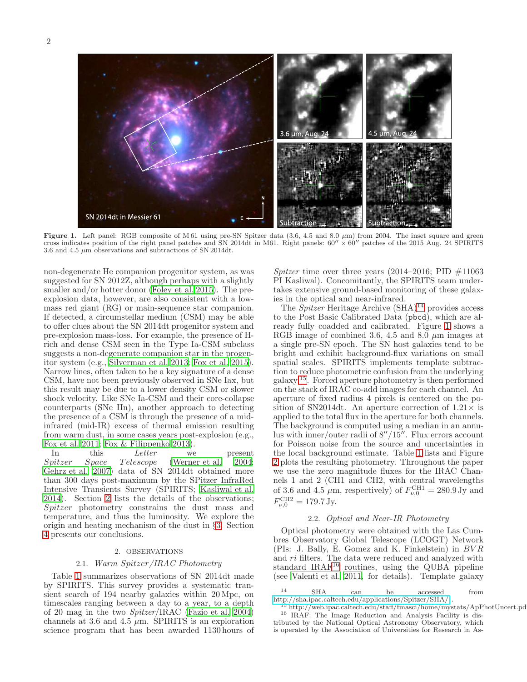

<span id="page-1-2"></span>**Figure 1.** Left panel: RGB composite of M61 using pre-SN Spitzer data (3.6, 4.5 and 8.0  $\mu$ m) from 2004. The inset square and green cross indicates position of the right panel patches and SN 2014dt in M61. Right panels: 3.6 and 4.5  $\mu$ m observations and subtractions of SN 2014dt.

non-degenerate He companion progenitor system, as was suggested for SN 2012Z, although perhaps with a slightly smaller and/or hotter donor [\(Foley et al. 2015\)](#page-5-3). The preexplosion data, however, are also consistent with a lowmass red giant (RG) or main-sequence star companion. If detected, a circumstellar medium (CSM) may be able to offer clues about the SN 2014dt progenitor system and pre-explosion mass-loss. For example, the presence of Hrich and dense CSM seen in the Type Ia-CSM subclass suggests a non-degenerate companion star in the progenitor system (e.g., [Silverman et al. 2013;](#page-5-14) [Fox et al. 2015\)](#page-5-15). Narrow lines, often taken to be a key signature of a dense CSM, have not been previously observed in SNe Iax, but this result may be due to a lower density CSM or slower shock velocity. Like SNe Ia-CSM and their core-collapse counterparts (SNe IIn), another approach to detecting the presence of a CSM is through the presence of a midinfrared (mid-IR) excess of thermal emission resulting from warm dust, in some cases years post-explosion (e.g., [Fox et al. 2011](#page-5-16); [Fox & Filippenko 2013\)](#page-5-17).

In this Letter we present<br>Spitzer Space Telescope (Werner et al. 2004; Telescope [\(Werner et al. 2004;](#page-5-18) [Gehrz et al. 2007\)](#page-5-19) data of SN 2014dt obtained more than 300 days post-maximum by the SPitzer InfraRed Intensive Transients Survey (SPIRITS; [Kasliwal et al.](#page-5-20) [2014\)](#page-5-20). Section [2](#page-1-0) lists the details of the observations; Spitzer photometry constrains the dust mass and temperature, and thus the luminosity. We explore the origin and heating mechanism of the dust in §[3.](#page-4-0) Section [4](#page-5-21) presents our conclusions.

# 2. OBSERVATIONS

# 2.1. Warm Spitzer/IRAC Photometry

<span id="page-1-0"></span>Table [1](#page-2-0) summarizes observations of SN 2014dt made by SPIRITS. This survey provides a systematic transient search of 194 nearby galaxies within 20 Mpc, on timescales ranging between a day to a year, to a depth of 20 mag in the two Spitzer/IRAC [\(Fazio et al. 2004](#page-5-22)) channels at 3.6 and 4.5  $\mu$ m. SPIRITS is an exploration science program that has been awarded 1130 hours of

Spitzer time over three years  $(2014-2016; \text{ PID } \#11063)$ PI Kasliwal). Concomitantly, the SPIRITS team undertakes extensive ground-based monitoring of these galaxies in the optical and near-infrared.

The Spitzer Heritage Archive  $(SHA)^{14}$  $(SHA)^{14}$  $(SHA)^{14}$  provides access to the Post Basic Calibrated Data (pbcd), which are already fully coadded and calibrated. Figure [1](#page-1-2) shows a RGB image of combined 3.6, 4.5 and 8.0  $\mu$ m images at a single pre-SN epoch. The SN host galaxies tend to be bright and exhibit background-flux variations on small spatial scales. SPIRITS implements template subtraction to reduce photometric confusion from the underlying galaxy [15](#page-1-3). Forced aperture photometry is then performed on the stack of IRAC co-add images for each channel. An aperture of fixed radius 4 pixels is centered on the position of SN2014dt. An aperture correction of  $1.21 \times$  is applied to the total flux in the aperture for both channels. The background is computed using a median in an annulus with inner/outer radii of 8′′/15′′. Flux errors account for Poisson noise from the source and uncertainties in the local background estimate. Table [1](#page-2-0) lists and Figure [2](#page-2-1) plots the resulting photometry. Throughout the paper we use the zero magnitude fluxes for the IRAC Channels 1 and 2 (CH1 and CH2, with central wavelengths of 3.6 and 4.5  $\mu$ m, respectively) of  $F_{\nu,0}^{\text{CH1}} = 280.9 \text{ Jy}$  and  $F_{\nu,0}^{\text{CH2}} = 179.7 \text{ Jy}.$ 

### 2.2. Optical and Near-IR Photometry

Optical photometry were obtained with the Las Cumbres Observatory Global Telescope (LCOGT) Network (PIs: J. Bally, E. Gomez and K. Finkelstein) in BV R and ri filters. The data were reduced and analyzed with standard IRAF[16](#page-1-4) routines, using the QUBA pipeline (see [Valenti et al. 2011,](#page-5-23) for details). Template galaxy

<sup>14</sup> SHA can be accessed from <http://sha.ipac.caltech.edu/applications/Spitzer/SHA/> .

<span id="page-1-4"></span><span id="page-1-3"></span><span id="page-1-1"></span><sup>&</sup>lt;sup>15</sup> http://web.ipac.caltech.edu/staff/fmasci/home/mystats/ApPhotUncert.pd <sup>16</sup> IRAF: The Image Reduction and Analysis Facility is distributed by the National Optical Astronomy Observatory, which is operated by the Association of Universities for Research in As-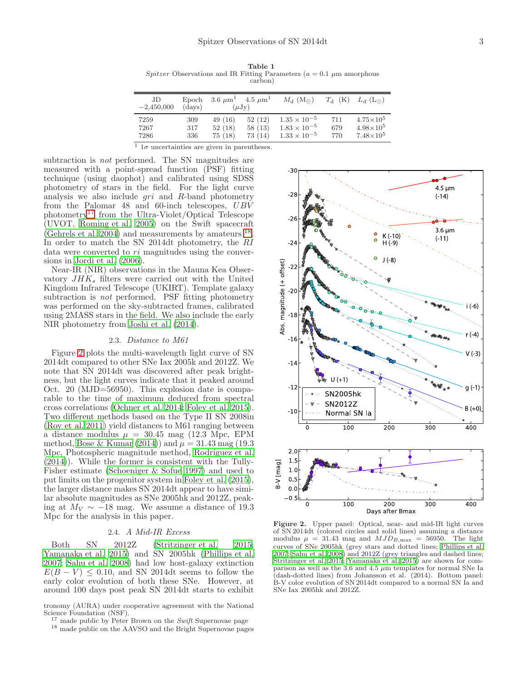<span id="page-2-0"></span>Table 1 Spitzer Observations and IR Fitting Parameters ( $a = 0.1 \mu$ m amorphous carbon)

| JD<br>$-2,450,000$ | Epoch<br>(days) | $3.6 \ \mu m^1$ | $4.5 \ \mu m^1$<br>$(\mu Jy)$ | $M_{\rm d}~({\rm M}_{\odot})$ | $T_{\rm d}$ (K) | $L_{\rm d}$ (L <sub>o</sub> ) |
|--------------------|-----------------|-----------------|-------------------------------|-------------------------------|-----------------|-------------------------------|
| 7259               | 309             | 49(16)          | 52(12)                        | $1.35 \times 10^{-5}$         | 711             | $4.75 \times 10^5$            |
| 7267               | 317             | 52(18)          | 58(13)                        | $1.83 \times 10^{-5}$         | 679             | $4.98\times10^{5}$            |
| 7286               | 336             | 75(18)          | 73(14)                        | $1.33 \times 10^{-5}$         | 770             | $7.48\times10^{5}$            |

<sup>1</sup>  $1σ$  uncertainties are given in parentheses.

subtraction is not performed. The SN magnitudes are measured with a point-spread function (PSF) fitting technique (using daophot) and calibrated using SDSS photometry of stars in the field. For the light curve analysis we also include  $gri$  and  $R$ -band photometry from the Palomar 48 and 60-inch telescopes,  $UBV$ photometry[17](#page-2-2) from the Ultra-Violet/Optical Telescope (UVOT, [Roming et al. 2005\)](#page-5-24) on the Swift spacecraft [\(Gehrels et al. 2004](#page-5-25)) and measurements by amateurs [18](#page-2-3) . In order to match the SN 2014dt photometry, the RI data were converted to ri magnitudes using the conversions in [Jordi et al. \(2006\)](#page-5-26).

Near-IR (NIR) observations in the Mauna Kea Observatory  $JHK<sub>s</sub>$  filters were carried out with the United Kingdom Infrared Telescope (UKIRT). Template galaxy subtraction is *not* performed. PSF fitting photometry was performed on the sky-subtracted frames, calibrated using 2MASS stars in the field. We also include the early NIR photometry from [Joshi et al. \(2014\)](#page-5-27).

#### 2.3. Distance to M61

Figure [2](#page-2-1) plots the multi-wavelength light curve of SN 2014dt compared to other SNe Iax 2005k and 2012Z. We note that SN 2014dt was discovered after peak brightness, but the light curves indicate that it peaked around Oct. 20 (MJD=56950). This explosion date is comparable to the time of maximum deduced from spectral cross correlations [\(Ochner et al. 2014;](#page-5-13) [Foley et al. 2015\)](#page-5-3). Two different methods based on the Type II SN 2008in [\(Roy et al. 2011\)](#page-5-28) yield distances to M61 ranging between a distance modulus  $\mu = 30.45$  mag (12.3 Mpc, EPM method, [Bose & Kumar \(2014](#page-5-29))) and  $\mu = 31.43$  mag (19.3) Mpc, Photospheric magnitude method, Rodríguez et al.  $(2014)$ ). While the former is consistent with the Tully-Fisher estimate [\(Schoeniger & Sofue 1997\)](#page-5-31) and used to put limits on the progenitor system in [Foley et al. \(2015\)](#page-5-3), the larger distance makes SN 2014dt appear to have similar absolute magnitudes as SNe 2005hk and 2012Z, peaking at  $M_V \sim -18$  mag. We assume a distance of 19.3 Mpc for the analysis in this paper.

# 2.4. A Mid-IR Excess

Both SN 2012Z [\(Stritzinger et al. 2015;](#page-5-7) [Yamanaka et al. 2015\)](#page-5-32) and SN 2005hk [\(Phillips et al.](#page-5-6) [2007;](#page-5-6) [Sahu et al. 2008](#page-5-33)) had low host-galaxy extinction  $E(B - V) \leq 0.10$ , and SN 2014dt seems to follow the early color evolution of both these SNe. However, at around 100 days post peak SN 2014dt starts to exhibit

tronomy (AURA) under cooperative agreement with the National Science Foundation (NSF).

- $17$  made public by Peter Brown on the *Swift* Supernovae page
- <span id="page-2-3"></span><span id="page-2-2"></span><sup>18</sup> made public on the AAVSO and the Bright Supernovae pages



<span id="page-2-1"></span>Figure 2. Upper panel: Optical, near- and mid-IR light curves of SN 2014dt (colored circles and solid lines) assuming a distance modulus  $\mu = 31.43$  mag and  $MJD_{B,\text{max}} = 56950$ . The light curves of SNe 2005hk (grey stars and dotted lines; [Phillips et al.](#page-5-6) [2007](#page-5-6); [Sahu et al. 2008](#page-5-33)) and 2012Z (grey triangles and dashed lines; [Stritzinger et al. 2015](#page-5-7); [Yamanaka et al. 2015\)](#page-5-32) are shown for comparison as well as the 3.6 and 4.5  $\mu$ m templates for normal SNe Ia (dash-dotted lines) from Johansson et al. (2014). Bottom panel: B-V color evolution of SN 2014dt compared to a normal SN Ia and SNe Iax 2005hk and 2012Z.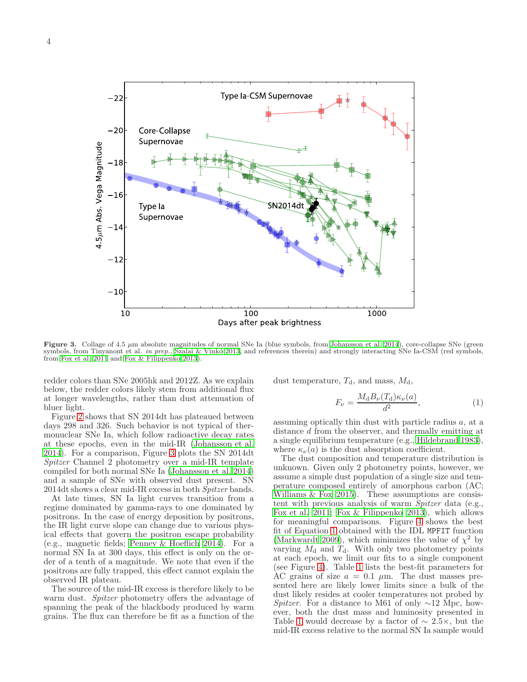

<span id="page-3-0"></span>Figure 3. Collage of 4.5  $\mu$ m absolute magnitudes of normal SNe Ia (blue symbols, from [Johansson et al. 2014](#page-5-34)), core-collapse SNe (green symbols, from Tinyanont et al. in prep., Szalai & Vinkó 2013, and references therein) and strongly interacting SNe Ia-CSM (red symbols, from [Fox et al. 2011](#page-5-16) and [Fox & Filippenko 2013](#page-5-17)).

redder colors than SNe 2005hk and 2012Z. As we explain below, the redder colors likely stem from additional flux at longer wavelengths, rather than dust attenuation of bluer light.

Figure [2](#page-2-1) shows that SN 2014dt has plateaued between days 298 and 326. Such behavior is not typical of thermonuclear SNe Ia, which follow radioactive decay rates at these epochs, even in the mid-IR [\(Johansson et al.](#page-5-34) [2014\)](#page-5-34). For a comparison, Figure [3](#page-3-0) plots the SN 2014dt Spitzer Channel 2 photometry over a mid-IR template compiled for both normal SNe Ia [\(Johansson et al. 2014](#page-5-34)) and a sample of SNe with observed dust present. SN 2014dt shows a clear mid-IR excess in both Spitzer bands.

At late times, SN Ia light curves transition from a regime dominated by gamma-rays to one dominated by positrons. In the case of energy deposition by positrons, the IR light curve slope can change due to various physical effects that govern the positron escape probability (e.g., magnetic fields; [Penney & Hoeflich 2014](#page-5-36)). For a normal SN Ia at 300 days, this effect is only on the order of a tenth of a magnitude. We note that even if the positrons are fully trapped, this effect cannot explain the observed IR plateau.

The source of the mid-IR excess is therefore likely to be warm dust. Spitzer photometry offers the advantage of spanning the peak of the blackbody produced by warm grains. The flux can therefore be fit as a function of the

dust temperature,  $T_{\rm d}$ , and mass,  $M_{\rm d}$ ,

<span id="page-3-1"></span>
$$
F_{\nu} = \frac{M_{\rm d}B_{\nu}(T_{\rm d})\kappa_{\nu}(a)}{d^2},\tag{1}
$$

assuming optically thin dust with particle radius a, at a distance d from the observer, and thermally emitting at a single equilibrium temperature (e.g., [Hildebrand 1983](#page-5-37)), where  $\kappa_{\nu}(a)$  is the dust absorption coefficient.

The dust composition and temperature distribution is unknown. Given only 2 photometry points, however, we assume a simple dust population of a single size and temperature composed entirely of amorphous carbon (AC; Williams  $&$  Fox 2015). These assumptions are consistent with previous analysis of warm Spitzer data (e.g., [Fox et al. 2011;](#page-5-16) [Fox & Filippenko 2013\)](#page-5-17), which allows for meaningful comparisons. Figure [4](#page-4-1) shows the best fit of Equation [1](#page-3-1) obtained with the IDL MPFIT function [\(Markwardt 2009\)](#page-5-39), which minimizes the value of  $\chi^2$  by varying  $M_d$  and  $T_d$ . With only two photometry points at each epoch, we limit our fits to a single component (see Figure [4\)](#page-4-1). Table [1](#page-2-0) lists the best-fit parameters for AC grains of size  $a = 0.1 \mu m$ . The dust masses presented here are likely lower limits since a bulk of the dust likely resides at cooler temperatures not probed by Spitzer. For a distance to M61 of only  $\sim$ 12 Mpc, however, both the dust mass and luminosity presented in Table [1](#page-2-0) would decrease by a factor of  $\sim 2.5 \times$ , but the mid-IR excess relative to the normal SN Ia sample would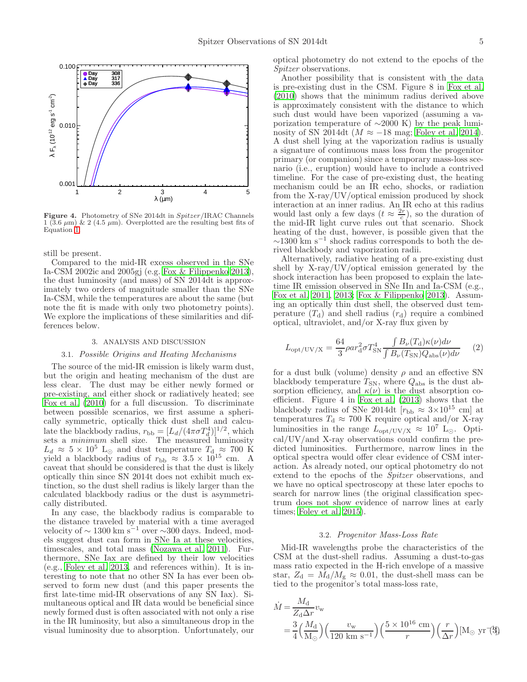

<span id="page-4-1"></span>Figure 4. Photometry of SNe 2014dt in Spitzer/IRAC Channels  $1 (3.6 \mu m)$  & 2 (4.5  $\mu m$ ). Overplotted are the resulting best fits of Equation [1.](#page-3-1)

still be present.

Compared to the mid-IR excess observed in the SNe Ia-CSM 2002ic and 2005gj (e.g. [Fox & Filippenko 2013\)](#page-5-17), the dust luminosity (and mass) of SN 2014dt is approximately two orders of magnitude smaller than the SNe Ia-CSM, while the temperatures are about the same (but note the fit is made with only two photometry points). We explore the implications of these similarities and differences below.

### 3. ANALYSIS AND DISCUSSION

## <span id="page-4-0"></span>3.1. Possible Origins and Heating Mechanisms

The source of the mid-IR emission is likely warm dust, but the origin and heating mechanism of the dust are less clear. The dust may be either newly formed or pre-existing, and either shock or radiatively heated; see [Fox et al. \(2010\)](#page-5-40) for a full discussion. To discriminate between possible scenarios, we first assume a spherically symmetric, optically thick dust shell and calculate the blackbody radius,  $r_{\rm bb} = [L_d/(4\pi\sigma T_d^4)]^{1/2}$ , which sets a *minimum* shell size. The measured luminosity  $L_d \approx 5 \times 10^5$  L<sub>⊙</sub> and dust temperature  $T_d \approx 700$  K yield a blackbody radius of  $r_{\rm bb} \approx 3.5 \times 10^{15}$  cm. A caveat that should be considered is that the dust is likely optically thin since SN 2014t does not exhibit much extinction, so the dust shell radius is likely larger than the calculated blackbody radius or the dust is asymmetrically distributed.

In any case, the blackbody radius is comparable to the distance traveled by material with a time averaged velocity of  $\sim$  1300 km s<sup>-1</sup> over  $\sim$ 300 days. Indeed, models suggest dust can form in SNe Ia at these velocities, timescales, and total mass [\(Nozawa et al. 2011\)](#page-5-41). Furthermore, SNe Iax are defined by their low velocities (e.g., [Foley et al. 2013,](#page-5-2) and references within). It is interesting to note that no other SN Ia has ever been observed to form new dust (and this paper presents the first late-time mid-IR observations of any SN Iax). Simultaneous optical and IR data would be beneficial since newly formed dust is often associated with not only a rise in the IR luminosity, but also a simultaneous drop in the visual luminosity due to absorption. Unfortunately, our

optical photometry do not extend to the epochs of the Spitzer observations.

Another possibility that is consistent with the data is pre-existing dust in the CSM. Figure 8 in [Fox et al.](#page-5-40) [\(2010\)](#page-5-40) shows that the minimum radius derived above is approximately consistent with the distance to which such dust would have been vaporized (assuming a vaporization temperature of ∼2000 K) by the peak luminosity of SN 2014dt ( $M \approx -18$  mag; [Foley et al. 2014](#page-5-10)). A dust shell lying at the vaporization radius is usually a signature of continuous mass loss from the progenitor primary (or companion) since a temporary mass-loss scenario (i.e., eruption) would have to include a contrived timeline. For the case of pre-existing dust, the heating mechanism could be an IR echo, shocks, or radiation from the X-ray/UV/optical emission produced by shock interaction at an inner radius. An IR echo at this radius would last only a few days  $(t \approx \frac{2r}{c})$ , so the duration of the mid-IR light curve rules out that scenario. Shock heating of the dust, however, is possible given that the  $\sim$ 1300 km s<sup>-1</sup> shock radius corresponds to both the derived blackbody and vaporization radii.

Alternatively, radiative heating of a pre-existing dust shell by X-ray/UV/optical emission generated by the shock interaction has been proposed to explain the latetime IR emission observed in SNe IIn and Ia-CSM (e.g., [Fox et al. 2011,](#page-5-16) [2013;](#page-5-42) [Fox & Filippenko 2013](#page-5-17)). Assuming an optically thin dust shell, the observed dust temperature  $(T_d)$  and shell radius  $(r_d)$  require a combined optical, ultraviolet, and/or X-ray flux given by

$$
L_{\rm opt/UV/X} = \frac{64}{3} \rho a r_{\rm d}^2 \sigma T_{\rm SN}^4 \frac{\int B_{\nu}(T_{\rm d}) \kappa(\nu) d\nu}{\int B_{\nu}(T_{\rm SN}) Q_{\rm abs}(\nu) d\nu} \tag{2}
$$

for a dust bulk (volume) density  $\rho$  and an effective SN blackbody temperature  $T_{SN}$ , where  $Q_{abs}$  is the dust absorption efficiency, and  $\kappa(\nu)$  is the dust absorption coefficient. Figure 4 in [Fox et al. \(2013\)](#page-5-42) shows that the blackbody radius of SNe 2014dt  $[r_{\text{bb}} \approx 3 \times 10^{15} \text{ cm}]$  at temperatures  $T_d \approx 700$  K require optical and/or X-ray luminosities in the range  $L_{\text{opt/UV/X}} \approx 10^7 \text{ L}_{\odot}$ . Optical/UV/and X-ray observations could confirm the predicted luminosities. Furthermore, narrow lines in the optical spectra would offer clear evidence of CSM interaction. As already noted, our optical photometry do not extend to the epochs of the Spitzer observations, and we have no optical spectroscopy at these later epochs to search for narrow lines (the original classification spectrum does not show evidence of narrow lines at early times; [Foley et al. 2015\)](#page-5-3).

#### 3.2. Progenitor Mass-Loss Rate

Mid-IR wavelengths probe the characteristics of the CSM at the dust-shell radius. Assuming a dust-to-gas mass ratio expected in the H-rich envelope of a massive star,  $Z_d = M_d/M_g \approx 0.01$ , the dust-shell mass can be tied to the progenitor's total mass-loss rate,

<span id="page-4-2"></span>
$$
\dot{M} = \frac{M_{\rm d}}{Z_{\rm d}\Delta r} v_{\rm w}
$$
\n
$$
= \frac{3}{4} \left(\frac{M_{\rm d}}{M_{\odot}}\right) \left(\frac{v_{\rm w}}{120 \text{ km s}^{-1}}\right) \left(\frac{5 \times 10^{16} \text{ cm}}{r}\right) \left(\frac{r}{\Delta r}\right) [\rm M_{\odot} \text{ yr}^{-1}]
$$